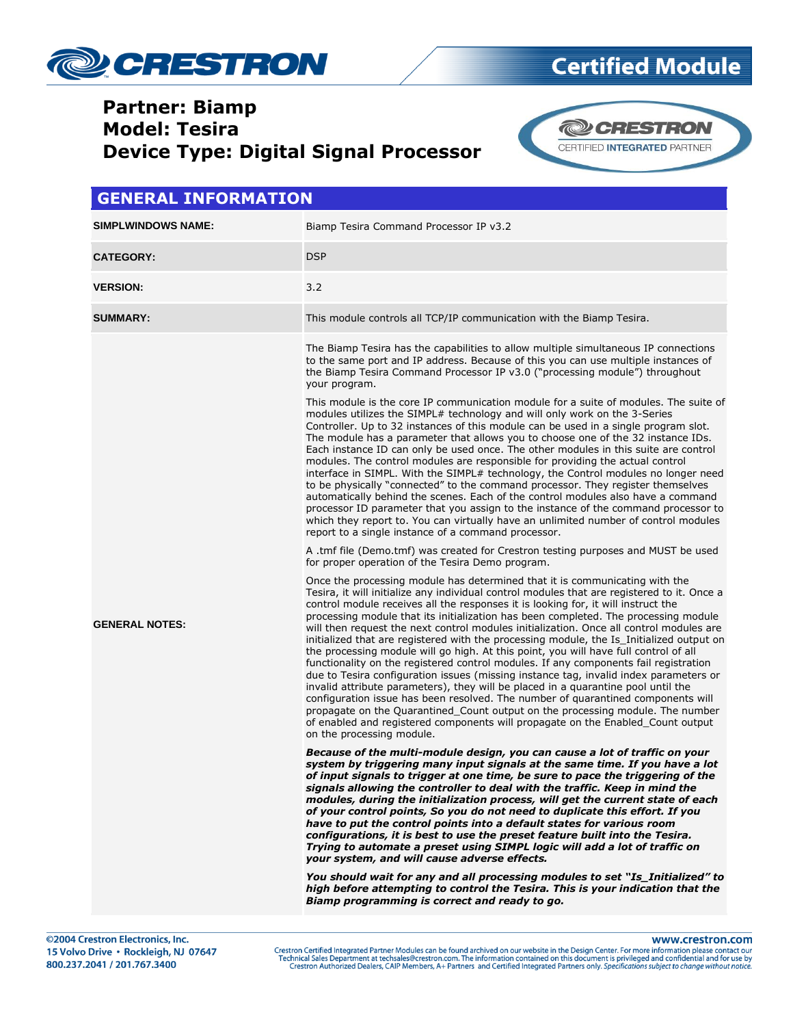

### **Partner: Biamp Model: Tesira Device Type: Digital Signal Processor**



#### **GENERAL INFORMATION**

| SIMPLWINDOWS NAME:    | Biamp Tesira Command Processor IP v3.2                                                                                                                                                                                                                                                                                                                                                                                                                                                                                                                                                                                                                                                                                                                                                                                                                                                                                                                                                                                                                                                                                                                                                                                                                                                                                                                                                                                                                                                                                                                                                                                                                                                                                                                                                                                                                                                                                                                                                                                                                                                                                                                                                                                                                                                                                                                                                                                                                                                                                                                                                                                                                                                                                                                                                                                                                                                                                                                                                                                                                                                                                                                                                                                                                                                                                                                                                                                                                                                                                                                                                                                                                   |
|-----------------------|----------------------------------------------------------------------------------------------------------------------------------------------------------------------------------------------------------------------------------------------------------------------------------------------------------------------------------------------------------------------------------------------------------------------------------------------------------------------------------------------------------------------------------------------------------------------------------------------------------------------------------------------------------------------------------------------------------------------------------------------------------------------------------------------------------------------------------------------------------------------------------------------------------------------------------------------------------------------------------------------------------------------------------------------------------------------------------------------------------------------------------------------------------------------------------------------------------------------------------------------------------------------------------------------------------------------------------------------------------------------------------------------------------------------------------------------------------------------------------------------------------------------------------------------------------------------------------------------------------------------------------------------------------------------------------------------------------------------------------------------------------------------------------------------------------------------------------------------------------------------------------------------------------------------------------------------------------------------------------------------------------------------------------------------------------------------------------------------------------------------------------------------------------------------------------------------------------------------------------------------------------------------------------------------------------------------------------------------------------------------------------------------------------------------------------------------------------------------------------------------------------------------------------------------------------------------------------------------------------------------------------------------------------------------------------------------------------------------------------------------------------------------------------------------------------------------------------------------------------------------------------------------------------------------------------------------------------------------------------------------------------------------------------------------------------------------------------------------------------------------------------------------------------------------------------------------------------------------------------------------------------------------------------------------------------------------------------------------------------------------------------------------------------------------------------------------------------------------------------------------------------------------------------------------------------------------------------------------------------------------------------------------------------|
| <b>CATEGORY:</b>      | <b>DSP</b>                                                                                                                                                                                                                                                                                                                                                                                                                                                                                                                                                                                                                                                                                                                                                                                                                                                                                                                                                                                                                                                                                                                                                                                                                                                                                                                                                                                                                                                                                                                                                                                                                                                                                                                                                                                                                                                                                                                                                                                                                                                                                                                                                                                                                                                                                                                                                                                                                                                                                                                                                                                                                                                                                                                                                                                                                                                                                                                                                                                                                                                                                                                                                                                                                                                                                                                                                                                                                                                                                                                                                                                                                                               |
| <b>VERSION:</b>       | 3.2                                                                                                                                                                                                                                                                                                                                                                                                                                                                                                                                                                                                                                                                                                                                                                                                                                                                                                                                                                                                                                                                                                                                                                                                                                                                                                                                                                                                                                                                                                                                                                                                                                                                                                                                                                                                                                                                                                                                                                                                                                                                                                                                                                                                                                                                                                                                                                                                                                                                                                                                                                                                                                                                                                                                                                                                                                                                                                                                                                                                                                                                                                                                                                                                                                                                                                                                                                                                                                                                                                                                                                                                                                                      |
| <b>SUMMARY:</b>       | This module controls all TCP/IP communication with the Biamp Tesira.                                                                                                                                                                                                                                                                                                                                                                                                                                                                                                                                                                                                                                                                                                                                                                                                                                                                                                                                                                                                                                                                                                                                                                                                                                                                                                                                                                                                                                                                                                                                                                                                                                                                                                                                                                                                                                                                                                                                                                                                                                                                                                                                                                                                                                                                                                                                                                                                                                                                                                                                                                                                                                                                                                                                                                                                                                                                                                                                                                                                                                                                                                                                                                                                                                                                                                                                                                                                                                                                                                                                                                                     |
| <b>GENERAL NOTES:</b> | The Biamp Tesira has the capabilities to allow multiple simultaneous IP connections<br>to the same port and IP address. Because of this you can use multiple instances of<br>the Biamp Tesira Command Processor IP v3.0 ("processing module") throughout<br>your program.<br>This module is the core IP communication module for a suite of modules. The suite of<br>modules utilizes the SIMPL# technology and will only work on the 3-Series<br>Controller. Up to 32 instances of this module can be used in a single program slot.<br>The module has a parameter that allows you to choose one of the 32 instance IDs.<br>Each instance ID can only be used once. The other modules in this suite are control<br>modules. The control modules are responsible for providing the actual control<br>interface in SIMPL. With the SIMPL# technology, the Control modules no longer need<br>to be physically "connected" to the command processor. They register themselves<br>automatically behind the scenes. Each of the control modules also have a command<br>processor ID parameter that you assign to the instance of the command processor to<br>which they report to. You can virtually have an unlimited number of control modules<br>report to a single instance of a command processor.<br>A .tmf file (Demo.tmf) was created for Crestron testing purposes and MUST be used<br>for proper operation of the Tesira Demo program.<br>Once the processing module has determined that it is communicating with the<br>Tesira, it will initialize any individual control modules that are registered to it. Once a<br>control module receives all the responses it is looking for, it will instruct the<br>processing module that its initialization has been completed. The processing module<br>will then request the next control modules initialization. Once all control modules are<br>initialized that are registered with the processing module, the Is Initialized output on<br>the processing module will go high. At this point, you will have full control of all<br>functionality on the registered control modules. If any components fail registration<br>due to Tesira configuration issues (missing instance tag, invalid index parameters or<br>invalid attribute parameters), they will be placed in a quarantine pool until the<br>configuration issue has been resolved. The number of quarantined components will<br>propagate on the Quarantined Count output on the processing module. The number<br>of enabled and registered components will propagate on the Enabled Count output<br>on the processing module.<br>Because of the multi-module design, you can cause a lot of traffic on your<br>system by triggering many input signals at the same time. If you have a lot<br>of input signals to trigger at one time, be sure to pace the triggering of the<br>signals allowing the controller to deal with the traffic. Keep in mind the<br>modules, during the initialization process, will get the current state of each<br>of your control points, So you do not need to duplicate this effort. If you<br>have to put the control points into a default states for various room<br>configurations, it is best to use the preset feature built into the Tesira.<br>Trying to automate a preset using SIMPL logic will add a lot of traffic on<br>your system, and will cause adverse effects.<br>You should wait for any and all processing modules to set "Is_Initialized" to<br>high before attempting to control the Tesira. This is your indication that the<br>Biamp programming is correct and ready to go. |

www.crestron.com

Crestron Certified Integrated Partner Modules can be found archived on our website in the Design Center. For more information please contact our<br>Technical Sales Department at techsales@crestron.com. The information contain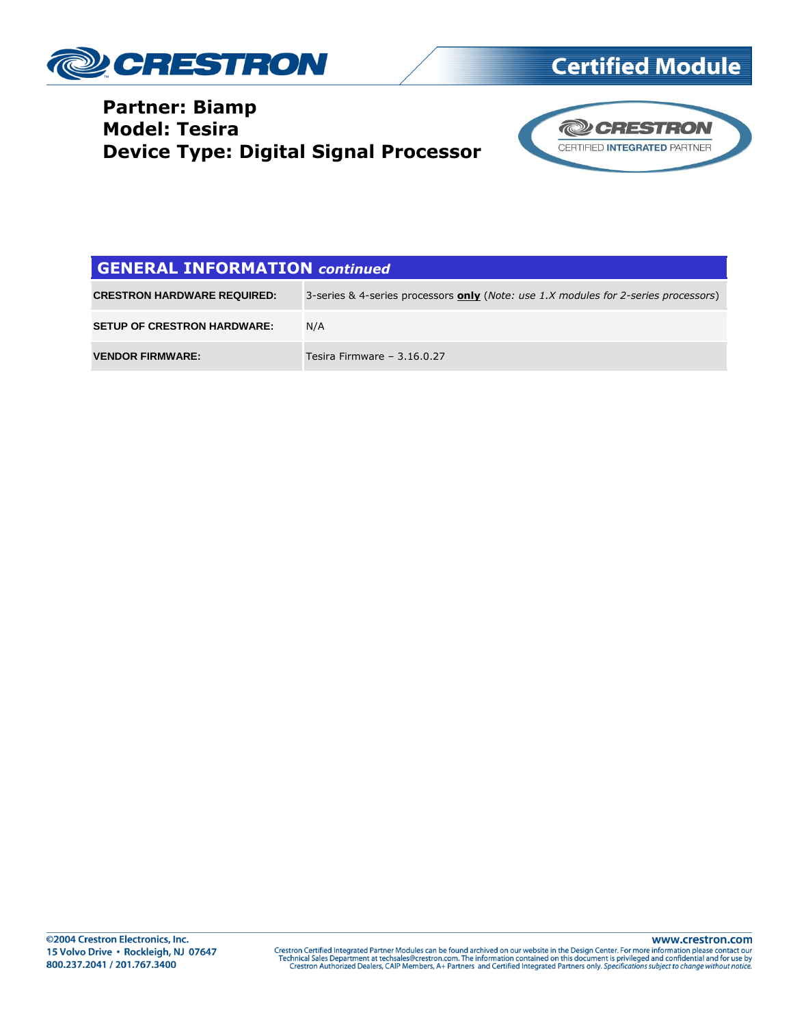

#### **Partner: Biamp Model: Tesira Device Type: Digital Signal Processor**



#### **GENERAL INFORMATION** *continued*

| <b>CRESTRON HARDWARE REQUIRED:</b> | 3-series & 4-series processors only ( <i>Note: use 1.X modules for 2-series processors</i> ) |
|------------------------------------|----------------------------------------------------------------------------------------------|
| <b>SETUP OF CRESTRON HARDWARE:</b> | N/A                                                                                          |
| <b>VENDOR FIRMWARE:</b>            | Tesira Firmware $-3.16.0.27$                                                                 |

www.crestron.com Crestron Certified Integrated Partner Modules can be found archived on our website in the Design Center. For more information please contact our<br>Technical Sales Department at techsales@crestron.com. The information contain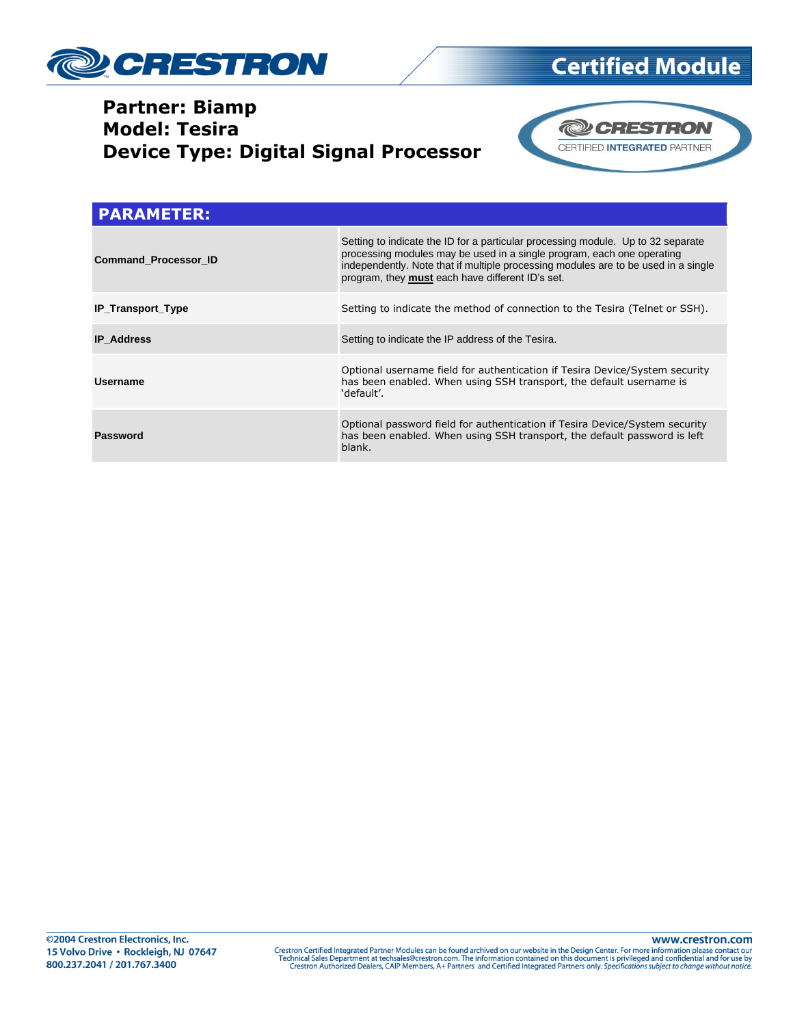

### **Partner: Biamp Model: Tesira Device Type: Digital Signal Processor**



| <b>PARAMETER:</b>           |                                                                                                                                                                                                                                                                                                      |  |
|-----------------------------|------------------------------------------------------------------------------------------------------------------------------------------------------------------------------------------------------------------------------------------------------------------------------------------------------|--|
| <b>Command Processor ID</b> | Setting to indicate the ID for a particular processing module. Up to 32 separate<br>processing modules may be used in a single program, each one operating<br>independently. Note that if multiple processing modules are to be used in a single<br>program, they must each have different ID's set. |  |
| <b>IP_Transport_Type</b>    | Setting to indicate the method of connection to the Tesira (Telnet or SSH).                                                                                                                                                                                                                          |  |
| <b>IP Address</b>           | Setting to indicate the IP address of the Tesira.                                                                                                                                                                                                                                                    |  |
| Username                    | Optional username field for authentication if Tesira Device/System security<br>has been enabled. When using SSH transport, the default username is<br>'default'.                                                                                                                                     |  |
| Password                    | Optional password field for authentication if Tesira Device/System security<br>has been enabled. When using SSH transport, the default password is left<br>blank.                                                                                                                                    |  |

Crestron Certified Integrated Partner Modules can be found archived on our website in the Design Center. For more information please contact our Technical Sales Department at techsales@crestron.com. The information contain

www.crestron.com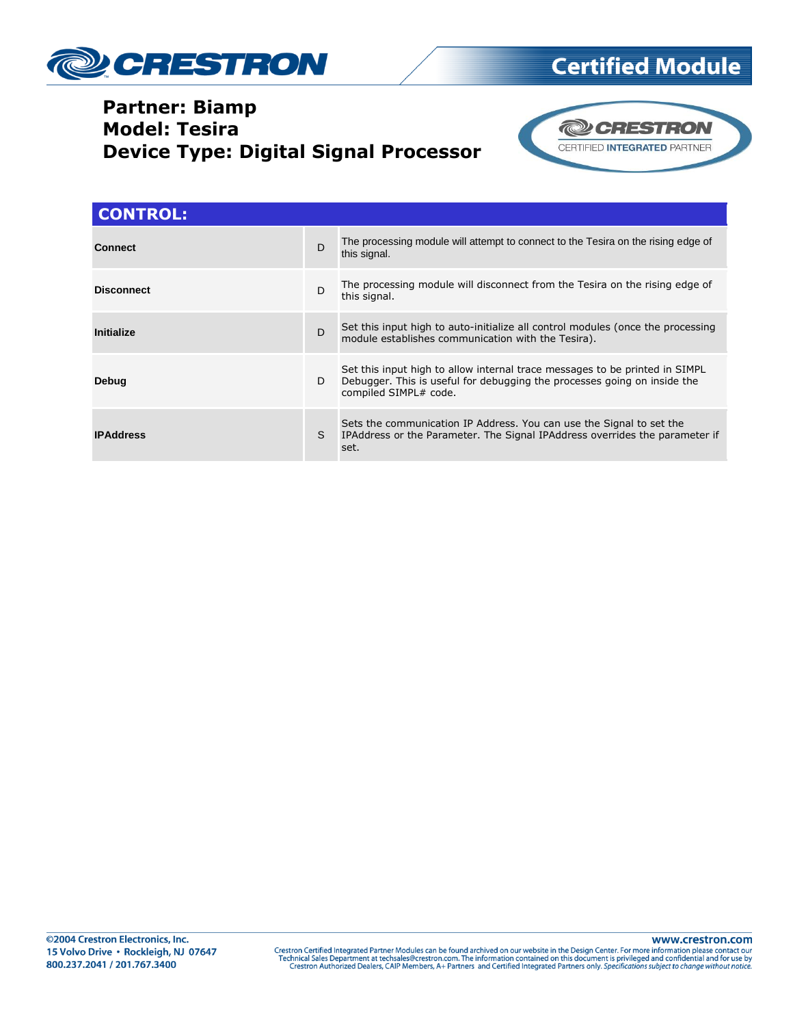

### **Partner: Biamp Model: Tesira Device Type: Digital Signal Processor**



**Certified Module** 

| <b>CONTROL:</b>   |    |                                                                                                                                                                                  |
|-------------------|----|----------------------------------------------------------------------------------------------------------------------------------------------------------------------------------|
| <b>Connect</b>    | D  | The processing module will attempt to connect to the Tesira on the rising edge of<br>this signal.                                                                                |
| <b>Disconnect</b> | D  | The processing module will disconnect from the Tesira on the rising edge of<br>this signal.                                                                                      |
| Initialize        | D  | Set this input high to auto-initialize all control modules (once the processing<br>module establishes communication with the Tesira).                                            |
| Debug             | D  | Set this input high to allow internal trace messages to be printed in SIMPL<br>Debugger. This is useful for debugging the processes going on inside the<br>compiled SIMPL# code. |
| <b>IPAddress</b>  | S. | Sets the communication IP Address. You can use the Signal to set the<br>IPAddress or the Parameter. The Signal IPAddress overrides the parameter if<br>set.                      |

Crestron Certified Integrated Partner Modules can be found archived on our website in the Design Center. For more information please contact our Technical Sales Department at techsales@crestron.com. The information contain

www.crestron.com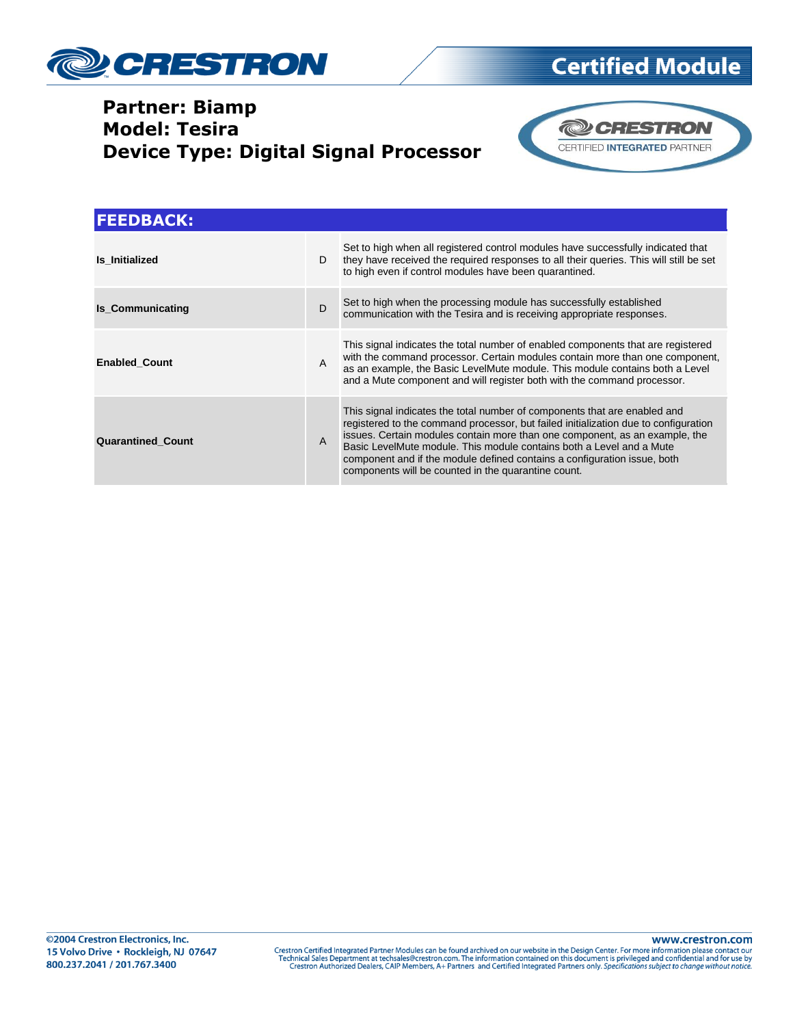

### **Partner: Biamp Model: Tesira Device Type: Digital Signal Processor**





| <b>FEEDBACK:</b>         |              |                                                                                                                                                                                                                                                                                                                                                                                                                                                            |
|--------------------------|--------------|------------------------------------------------------------------------------------------------------------------------------------------------------------------------------------------------------------------------------------------------------------------------------------------------------------------------------------------------------------------------------------------------------------------------------------------------------------|
| <b>Is Initialized</b>    | D.           | Set to high when all registered control modules have successfully indicated that<br>they have received the required responses to all their queries. This will still be set<br>to high even if control modules have been quarantined.                                                                                                                                                                                                                       |
| <b>Is Communicating</b>  | D            | Set to high when the processing module has successfully established<br>communication with the Tesira and is receiving appropriate responses.                                                                                                                                                                                                                                                                                                               |
| <b>Enabled Count</b>     | $\mathsf{A}$ | This signal indicates the total number of enabled components that are registered<br>with the command processor. Certain modules contain more than one component,<br>as an example, the Basic LevelMute module. This module contains both a Level<br>and a Mute component and will register both with the command processor.                                                                                                                                |
| <b>Quarantined Count</b> | $\mathsf{A}$ | This signal indicates the total number of components that are enabled and<br>registered to the command processor, but failed initialization due to configuration<br>issues. Certain modules contain more than one component, as an example, the<br>Basic LevelMute module. This module contains both a Level and a Mute<br>component and if the module defined contains a configuration issue, both<br>components will be counted in the quarantine count. |

www.crestron.com Crestron Certified Integrated Partner Modules can be found archived on our website in the Design Center. For more information please contact our Technical Sales Department at techsales@crestron.com. The information contain